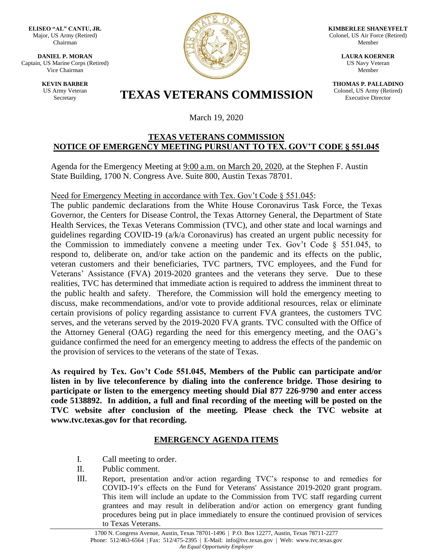**ELISEO "AL" CANTU, JR.** Major, US Army (Retired) Chairman

**DANIEL P. MORAN** Captain, US Marine Corps (Retired) Vice Chairman

> **KEVIN BARBER** US Army Veteran



**KIMBERLEE SHANEYFELT** Colonel, US Air Force (Retired) Member

> **LAURA KOERNER** US Navy Veteran Member

**THOMAS P. PALLADINO** Colonel, US Army (Retired) Executive Director

# Army Veteran **TEXAS VETERANS COMMISSION**

March 19, 2020

#### **TEXAS VETERANS COMMISSION NOTICE OF EMERGENCY MEETING PURSUANT TO TEX. GOV'T CODE § 551.045**

Agenda for the Emergency Meeting at 9:00 a.m. on March 20, 2020, at the Stephen F. Austin State Building, 1700 N. Congress Ave. Suite 800, Austin Texas 78701.

Need for Emergency Meeting in accordance with Tex. Gov't Code § 551.045:

The public pandemic declarations from the White House Coronavirus Task Force, the Texas Governor, the Centers for Disease Control, the Texas Attorney General, the Department of State Health Services, the Texas Veterans Commission (TVC), and other state and local warnings and guidelines regarding COVID-19 (a/k/a Coronavirus) has created an urgent public necessity for the Commission to immediately convene a meeting under Tex. Gov't Code § 551.045, to respond to, deliberate on, and/or take action on the pandemic and its effects on the public, veteran customers and their beneficiaries, TVC partners, TVC employees, and the Fund for Veterans' Assistance (FVA) 2019-2020 grantees and the veterans they serve. Due to these realities, TVC has determined that immediate action is required to address the imminent threat to the public health and safety. Therefore, the Commission will hold the emergency meeting to discuss, make recommendations, and/or vote to provide additional resources, relax or eliminate certain provisions of policy regarding assistance to current FVA grantees, the customers TVC serves, and the veterans served by the 2019-2020 FVA grants. TVC consulted with the Office of the Attorney General (OAG) regarding the need for this emergency meeting, and the OAG's guidance confirmed the need for an emergency meeting to address the effects of the pandemic on the provision of services to the veterans of the state of Texas.

**As required by Tex. Gov't Code 551.045, Members of the Public can participate and/or listen in by live teleconference by dialing into the conference bridge. Those desiring to participate or listen to the emergency meeting should Dial 877 226-9790 and enter access code 5138892. In addition, a full and final recording of the meeting will be posted on the TVC website after conclusion of the meeting. Please check the TVC website at www.tvc.texas.gov for that recording.** 

### **EMERGENCY AGENDA ITEMS**

- I. Call meeting to order.
- II. Public comment.
- III. Report, presentation and/or action regarding TVC's response to and remedies for COVID-19's effects on the Fund for Veterans' Assistance 2019-2020 grant program. This item will include an update to the Commission from TVC staff regarding current grantees and may result in deliberation and/or action on emergency grant funding procedures being put in place immediately to ensure the continued provision of services to Texas Veterans.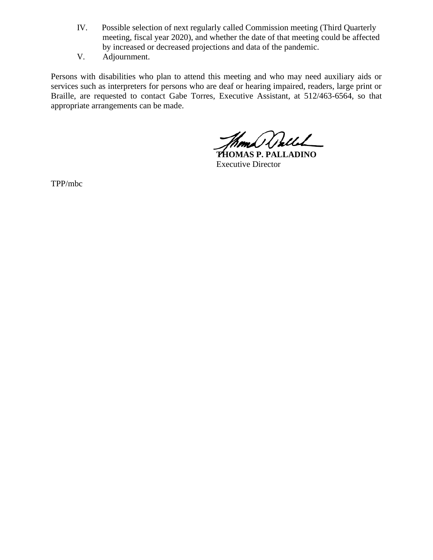- IV. Possible selection of next regularly called Commission meeting (Third Quarterly meeting, fiscal year 2020), and whether the date of that meeting could be affected by increased or decreased projections and data of the pandemic.
- V. Adjournment.

Persons with disabilities who plan to attend this meeting and who may need auxiliary aids or services such as interpreters for persons who are deaf or hearing impaired, readers, large print or Braille, are requested to contact Gabe Torres, Executive Assistant, at 512/463-6564, so that appropriate arrangements can be made.

Kom Walle

**THOMAS P. PALLADINO** Executive Director

TPP/mbc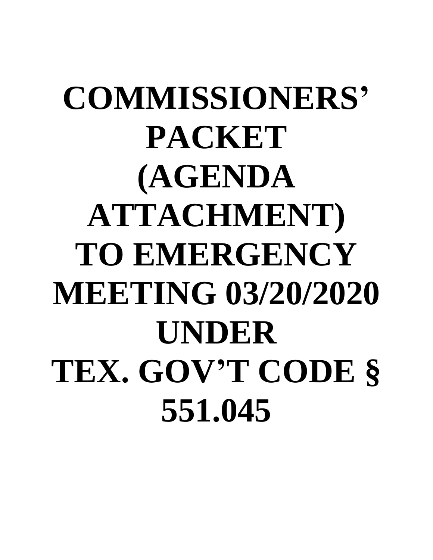# **COMMISSIONERS' PACKET (AGENDA ATTACHMENT) TO EMERGENCY MEETING 03/20/2020 UNDER TEX. GOV'T CODE § 551.045**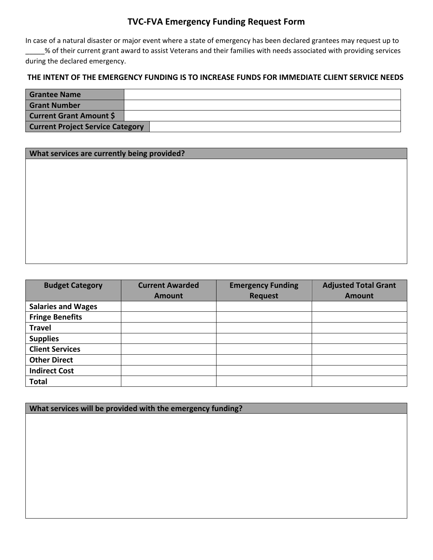## **TVC-FVA Emergency Funding Request Form**

In case of a natural disaster or major event where a state of emergency has been declared grantees may request up to \_\_\_\_\_% of their current grant award to assist Veterans and their families with needs associated with providing services during the declared emergency.

#### **THE INTENT OF THE EMERGENCY FUNDING IS TO INCREASE FUNDS FOR IMMEDIATE CLIENT SERVICE NEEDS**

| <b>Grantee Name</b>                     |  |
|-----------------------------------------|--|
| <b>Grant Number</b>                     |  |
| <b>Current Grant Amount \$</b>          |  |
| <b>Current Project Service Category</b> |  |

| What services are currently being provided? |  |  |
|---------------------------------------------|--|--|
|---------------------------------------------|--|--|

| <b>Budget Category</b>    | <b>Current Awarded</b> | <b>Emergency Funding</b> | <b>Adjusted Total Grant</b> |
|---------------------------|------------------------|--------------------------|-----------------------------|
|                           | <b>Amount</b>          | <b>Request</b>           | <b>Amount</b>               |
| <b>Salaries and Wages</b> |                        |                          |                             |
| <b>Fringe Benefits</b>    |                        |                          |                             |
| <b>Travel</b>             |                        |                          |                             |
| <b>Supplies</b>           |                        |                          |                             |
| <b>Client Services</b>    |                        |                          |                             |
| <b>Other Direct</b>       |                        |                          |                             |
| <b>Indirect Cost</b>      |                        |                          |                             |
| <b>Total</b>              |                        |                          |                             |

**What services will be provided with the emergency funding?**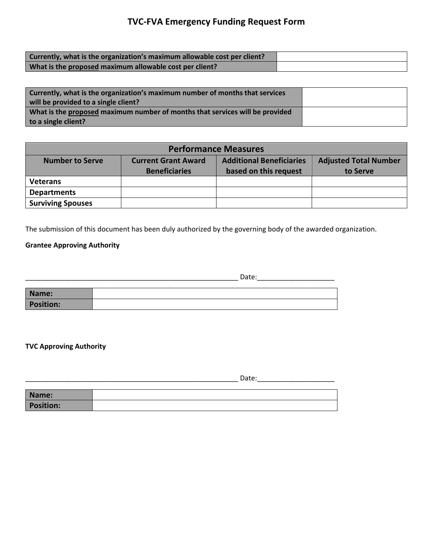## **TVC-FVA Emergency Funding Request Form**

| Currently, what is the organization's maximum allowable cost per client? |  |
|--------------------------------------------------------------------------|--|
| What is the proposed maximum allowable cost per client?                  |  |

| Currently, what is the organization's maximum number of months that services<br>will be provided to a single client? |  |
|----------------------------------------------------------------------------------------------------------------------|--|
| What is the proposed maximum number of months that services will be provided                                         |  |
| to a single client?                                                                                                  |  |

| <b>Performance Measures</b>                                                                                      |                      |                       |          |  |  |
|------------------------------------------------------------------------------------------------------------------|----------------------|-----------------------|----------|--|--|
| <b>Additional Beneficiaries</b><br><b>Adjusted Total Number</b><br><b>Current Grant Award</b><br>Number to Serve |                      |                       |          |  |  |
|                                                                                                                  | <b>Beneficiaries</b> | based on this request | to Serve |  |  |
| <b>Veterans</b>                                                                                                  |                      |                       |          |  |  |
| <b>Departments</b>                                                                                               |                      |                       |          |  |  |
| <b>Surviving Spouses</b>                                                                                         |                      |                       |          |  |  |

The submission of this document has been duly authorized by the governing body of the awarded organization.

#### **Grantee Approving Authority**

\_\_\_\_\_\_\_\_\_\_\_\_\_\_\_\_\_\_\_\_\_\_\_\_\_\_\_\_\_\_\_\_\_\_\_\_\_\_\_\_\_\_\_\_\_\_\_\_\_\_\_\_\_\_\_ Date:\_\_\_\_\_\_\_\_\_\_\_\_\_\_\_\_\_\_\_\_

| Name:            |  |
|------------------|--|
| <b>Position:</b> |  |

#### **TVC Approving Authority**

\_\_\_\_\_\_\_\_\_\_\_\_\_\_\_\_\_\_\_\_\_\_\_\_\_\_\_\_\_\_\_\_\_\_\_\_\_\_\_\_\_\_\_\_\_\_\_\_\_\_\_\_\_\_\_ Date:\_\_\_\_\_\_\_\_\_\_\_\_\_\_\_\_\_\_\_\_

| Name:            |  |
|------------------|--|
| <b>Position:</b> |  |